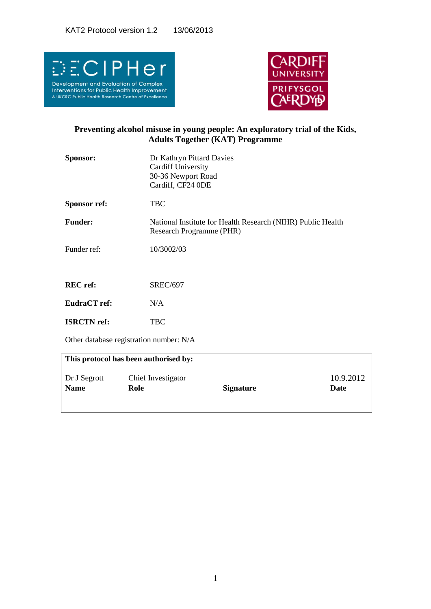



# **Preventing alcohol misuse in young people: An exploratory trial of the Kids, Adults Together (KAT) Programme**

| Sponsor:                    | Dr Kathryn Pittard Davies<br><b>Cardiff University</b><br>30-36 Newport Road<br>Cardiff, CF24 0DE |                                                                                         |                   |
|-----------------------------|---------------------------------------------------------------------------------------------------|-----------------------------------------------------------------------------------------|-------------------|
| <b>Sponsor ref:</b>         | <b>TBC</b>                                                                                        |                                                                                         |                   |
| <b>Funder:</b>              |                                                                                                   | National Institute for Health Research (NIHR) Public Health<br>Research Programme (PHR) |                   |
| Funder ref:                 | 10/3002/03                                                                                        |                                                                                         |                   |
|                             |                                                                                                   |                                                                                         |                   |
| <b>REC</b> ref:             | <b>SREC/697</b>                                                                                   |                                                                                         |                   |
| EudraCT ref:                | N/A                                                                                               |                                                                                         |                   |
| <b>ISRCTN</b> ref:          | <b>TBC</b>                                                                                        |                                                                                         |                   |
|                             | Other database registration number: N/A                                                           |                                                                                         |                   |
|                             | This protocol has been authorised by:                                                             |                                                                                         |                   |
| Dr J Segrott<br><b>Name</b> | Chief Investigator<br>Role                                                                        | <b>Signature</b>                                                                        | 10.9.2012<br>Date |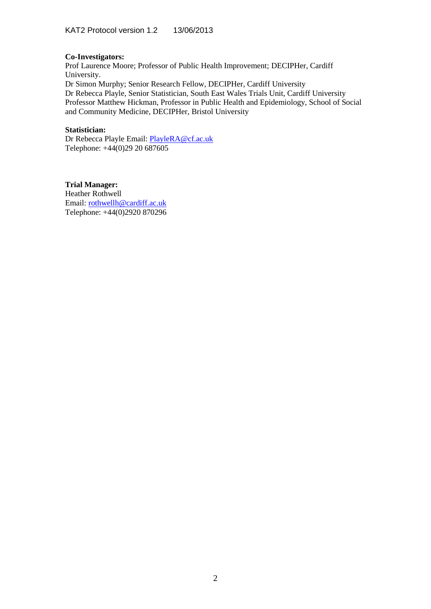#### **Co-Investigators:**

Prof Laurence Moore; Professor of Public Health Improvement; DECIPHer, Cardiff University. Dr Simon Murphy; Senior Research Fellow, DECIPHer, Cardiff University Dr Rebecca Playle, Senior Statistician, South East Wales Trials Unit, Cardiff University Professor Matthew Hickman, Professor in Public Health and Epidemiology, School of Social and Community Medicine, DECIPHer, Bristol University

#### **Statistician:**

Dr Rebecca Playle Email: PlayleRA@cf.ac.uk Telephone: +44(0)29 20 687605

**Trial Manager:** Heather Rothwell Email: rothwellh@cardiff.ac.uk Telephone: +44(0)2920 870296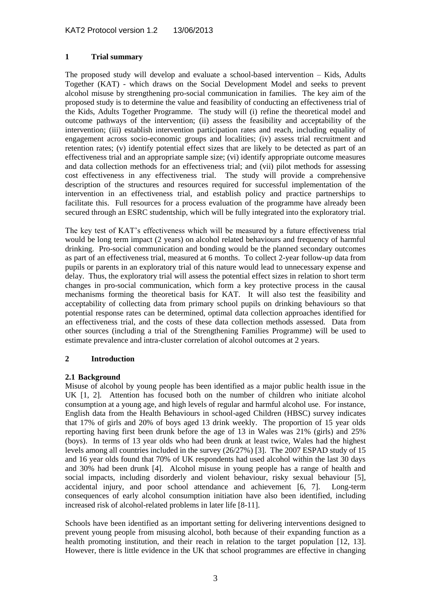## **1 Trial summary**

The proposed study will develop and evaluate a school-based intervention – Kids, Adults Together (KAT) - which draws on the Social Development Model and seeks to prevent alcohol misuse by strengthening pro-social communication in families. The key aim of the proposed study is to determine the value and feasibility of conducting an effectiveness trial of the Kids, Adults Together Programme. The study will (i) refine the theoretical model and outcome pathways of the intervention; (ii) assess the feasibility and acceptability of the intervention; (iii) establish intervention participation rates and reach, including equality of engagement across socio-economic groups and localities; (iv) assess trial recruitment and retention rates; (v) identify potential effect sizes that are likely to be detected as part of an effectiveness trial and an appropriate sample size; (vi) identify appropriate outcome measures and data collection methods for an effectiveness trial; and (vii) pilot methods for assessing cost effectiveness in any effectiveness trial. The study will provide a comprehensive description of the structures and resources required for successful implementation of the intervention in an effectiveness trial, and establish policy and practice partnerships to facilitate this. Full resources for a process evaluation of the programme have already been secured through an ESRC studentship, which will be fully integrated into the exploratory trial.

The key test of KAT's effectiveness which will be measured by a future effectiveness trial would be long term impact (2 years) on alcohol related behaviours and frequency of harmful drinking. Pro-social communication and bonding would be the planned secondary outcomes as part of an effectiveness trial, measured at 6 months. To collect 2-year follow-up data from pupils or parents in an exploratory trial of this nature would lead to unnecessary expense and delay. Thus, the exploratory trial will assess the potential effect sizes in relation to short term changes in pro-social communication, which form a key protective process in the causal mechanisms forming the theoretical basis for KAT. It will also test the feasibility and acceptability of collecting data from primary school pupils on drinking behaviours so that potential response rates can be determined, optimal data collection approaches identified for an effectiveness trial, and the costs of these data collection methods assessed. Data from other sources (including a trial of the Strengthening Families Programme) will be used to estimate prevalence and intra-cluster correlation of alcohol outcomes at 2 years.

## **2 Introduction**

## **2.1 Background**

Misuse of alcohol by young people has been identified as a major public health issue in the UK [1, 2]. Attention has focused both on the number of children who initiate alcohol consumption at a young age, and high levels of regular and harmful alcohol use. For instance, English data from the Health Behaviours in school-aged Children (HBSC) survey indicates that 17% of girls and 20% of boys aged 13 drink weekly. The proportion of 15 year olds reporting having first been drunk before the age of 13 in Wales was 21% (girls) and 25% (boys). In terms of 13 year olds who had been drunk at least twice, Wales had the highest levels among all countries included in the survey (26/27%) [3]. The 2007 ESPAD study of 15 and 16 year olds found that 70% of UK respondents had used alcohol within the last 30 days and 30% had been drunk [4]. Alcohol misuse in young people has a range of health and social impacts, including disorderly and violent behaviour, risky sexual behaviour [5], accidental injury, and poor school attendance and achievement [6, 7]. Long-term consequences of early alcohol consumption initiation have also been identified, including increased risk of alcohol-related problems in later life [8-11].

Schools have been identified as an important setting for delivering interventions designed to prevent young people from misusing alcohol, both because of their expanding function as a health promoting institution, and their reach in relation to the target population [12, 13]. However, there is little evidence in the UK that school programmes are effective in changing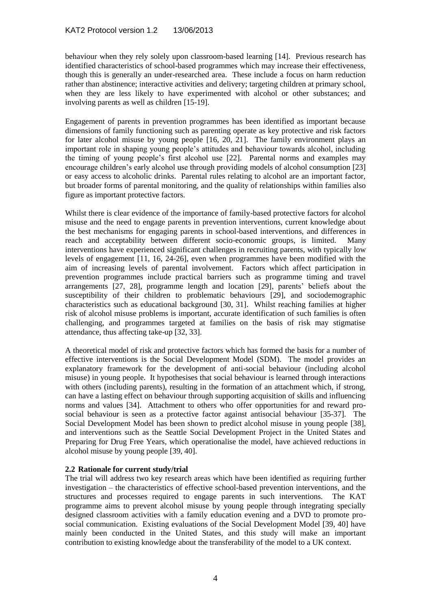behaviour when they rely solely upon classroom-based learning [14]. Previous research has identified characteristics of school-based programmes which may increase their effectiveness, though this is generally an under-researched area. These include a focus on harm reduction rather than abstinence; interactive activities and delivery; targeting children at primary school, when they are less likely to have experimented with alcohol or other substances; and involving parents as well as children [15-19].

Engagement of parents in prevention programmes has been identified as important because dimensions of family functioning such as parenting operate as key protective and risk factors for later alcohol misuse by young people [16, 20, 21]. The family environment plays an important role in shaping young people's attitudes and behaviour towards alcohol, including the timing of young people's first alcohol use [22]. Parental norms and examples may encourage children's early alcohol use through providing models of alcohol consumption [23] or easy access to alcoholic drinks. Parental rules relating to alcohol are an important factor, but broader forms of parental monitoring, and the quality of relationships within families also figure as important protective factors.

Whilst there is clear evidence of the importance of family-based protective factors for alcohol misuse and the need to engage parents in prevention interventions, current knowledge about the best mechanisms for engaging parents in school-based interventions, and differences in reach and acceptability between different socio-economic groups, is limited. Many interventions have experienced significant challenges in recruiting parents, with typically low levels of engagement [11, 16, 24-26], even when programmes have been modified with the aim of increasing levels of parental involvement. Factors which affect participation in prevention programmes include practical barriers such as programme timing and travel arrangements [27, 28], programme length and location [29], parents' beliefs about the susceptibility of their children to problematic behaviours [29], and sociodemographic characteristics such as educational background [30, 31]. Whilst reaching families at higher risk of alcohol misuse problems is important, accurate identification of such families is often challenging, and programmes targeted at families on the basis of risk may stigmatise attendance, thus affecting take-up [32, 33].

A theoretical model of risk and protective factors which has formed the basis for a number of effective interventions is the Social Development Model (SDM). The model provides an explanatory framework for the development of anti-social behaviour (including alcohol misuse) in young people. It hypothesises that social behaviour is learned through interactions with others (including parents), resulting in the formation of an attachment which, if strong, can have a lasting effect on behaviour through supporting acquisition of skills and influencing norms and values [34]. Attachment to others who offer opportunities for and reward prosocial behaviour is seen as a protective factor against antisocial behaviour [35-37]. The Social Development Model has been shown to predict alcohol misuse in young people [38], and interventions such as the Seattle Social Development Project in the United States and Preparing for Drug Free Years, which operationalise the model, have achieved reductions in alcohol misuse by young people [39, 40].

#### **2.2 Rationale for current study/trial**

The trial will address two key research areas which have been identified as requiring further investigation – the characteristics of effective school-based prevention interventions, and the structures and processes required to engage parents in such interventions. The KAT programme aims to prevent alcohol misuse by young people through integrating specially designed classroom activities with a family education evening and a DVD to promote prosocial communication. Existing evaluations of the Social Development Model [39, 40] have mainly been conducted in the United States, and this study will make an important contribution to existing knowledge about the transferability of the model to a UK context.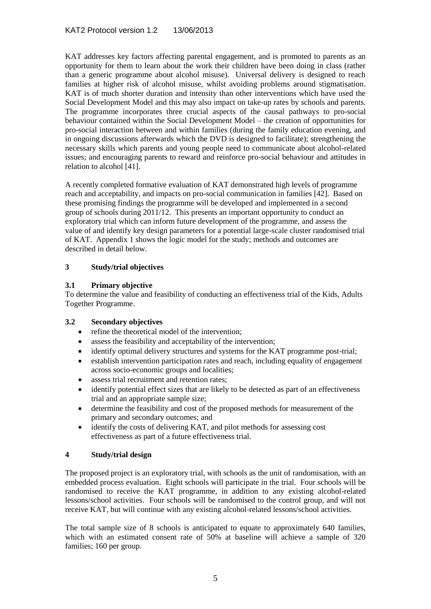KAT addresses key factors affecting parental engagement, and is promoted to parents as an opportunity for them to learn about the work their children have been doing in class (rather than a generic programme about alcohol misuse). Universal delivery is designed to reach families at higher risk of alcohol misuse, whilst avoiding problems around stigmatisation. KAT is of much shorter duration and intensity than other interventions which have used the Social Development Model and this may also impact on take-up rates by schools and parents. The programme incorporates three crucial aspects of the causal pathways to pro-social behaviour contained within the Social Development Model – the creation of opportunities for pro-social interaction between and within families (during the family education evening, and in ongoing discussions afterwards which the DVD is designed to facilitate); strengthening the necessary skills which parents and young people need to communicate about alcohol-related issues; and encouraging parents to reward and reinforce pro-social behaviour and attitudes in relation to alcohol [41].

A recently completed formative evaluation of KAT demonstrated high levels of programme reach and acceptability, and impacts on pro-social communication in families [42]. Based on these promising findings the programme will be developed and implemented in a second group of schools during 2011/12. This presents an important opportunity to conduct an exploratory trial which can inform future development of the programme, and assess the value of and identify key design parameters for a potential large-scale cluster randomised trial of KAT. Appendix 1 shows the logic model for the study; methods and outcomes are described in detail below.

## **3 Study/trial objectives**

## **3.1 Primary objective**

To determine the value and feasibility of conducting an effectiveness trial of the Kids, Adults Together Programme.

## **3.2 Secondary objectives**

- refine the theoretical model of the intervention;
- assess the feasibility and acceptability of the intervention:
- identify optimal delivery structures and systems for the KAT programme post-trial;
- establish intervention participation rates and reach, including equality of engagement across socio-economic groups and localities;
- assess trial recruitment and retention rates;
- identify potential effect sizes that are likely to be detected as part of an effectiveness trial and an appropriate sample size;
- determine the feasibility and cost of the proposed methods for measurement of the primary and secondary outcomes; and
- identify the costs of delivering KAT, and pilot methods for assessing cost effectiveness as part of a future effectiveness trial.

## **4 Study/trial design**

The proposed project is an exploratory trial, with schools as the unit of randomisation, with an embedded process evaluation. Eight schools will participate in the trial. Four schools will be randomised to receive the KAT programme, in addition to any existing alcohol-related lessons/school activities. Four schools will be randomised to the control group, and will not receive KAT, but will continue with any existing alcohol-related lessons/school activities.

The total sample size of 8 schools is anticipated to equate to approximately 640 families, which with an estimated consent rate of 50% at baseline will achieve a sample of 320 families; 160 per group.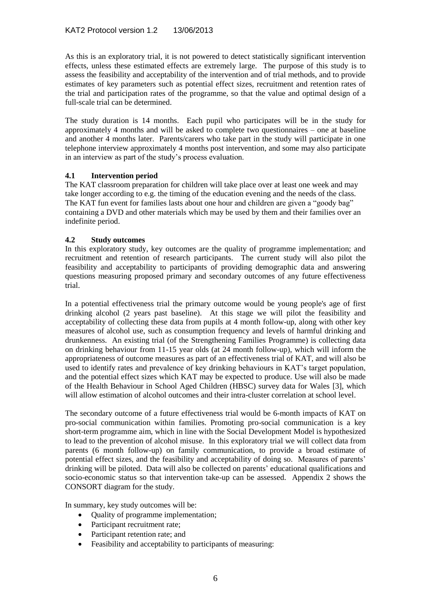As this is an exploratory trial, it is not powered to detect statistically significant intervention effects, unless these estimated effects are extremely large. The purpose of this study is to assess the feasibility and acceptability of the intervention and of trial methods, and to provide estimates of key parameters such as potential effect sizes, recruitment and retention rates of the trial and participation rates of the programme, so that the value and optimal design of a full-scale trial can be determined.

The study duration is 14 months. Each pupil who participates will be in the study for approximately 4 months and will be asked to complete two questionnaires – one at baseline and another 4 months later. Parents/carers who take part in the study will participate in one telephone interview approximately 4 months post intervention, and some may also participate in an interview as part of the study's process evaluation.

## **4.1 Intervention period**

The KAT classroom preparation for children will take place over at least one week and may take longer according to e.g. the timing of the education evening and the needs of the class. The KAT fun event for families lasts about one hour and children are given a "goody bag" containing a DVD and other materials which may be used by them and their families over an indefinite period.

## **4.2 Study outcomes**

In this exploratory study, key outcomes are the quality of programme implementation; and recruitment and retention of research participants. The current study will also pilot the feasibility and acceptability to participants of providing demographic data and answering questions measuring proposed primary and secondary outcomes of any future effectiveness trial.

In a potential effectiveness trial the primary outcome would be young people's age of first drinking alcohol (2 years past baseline). At this stage we will pilot the feasibility and acceptability of collecting these data from pupils at 4 month follow-up, along with other key measures of alcohol use, such as consumption frequency and levels of harmful drinking and drunkenness. An existing trial (of the Strengthening Families Programme) is collecting data on drinking behaviour from 11-15 year olds (at 24 month follow-up), which will inform the appropriateness of outcome measures as part of an effectiveness trial of KAT, and will also be used to identify rates and prevalence of key drinking behaviours in KAT's target population, and the potential effect sizes which KAT may be expected to produce. Use will also be made of the Health Behaviour in School Aged Children (HBSC) survey data for Wales [3], which will allow estimation of alcohol outcomes and their intra-cluster correlation at school level.

The secondary outcome of a future effectiveness trial would be 6-month impacts of KAT on pro-social communication within families. Promoting pro-social communication is a key short-term programme aim, which in line with the Social Development Model is hypothesized to lead to the prevention of alcohol misuse. In this exploratory trial we will collect data from parents (6 month follow-up) on family communication, to provide a broad estimate of potential effect sizes, and the feasibility and acceptability of doing so. Measures of parents' drinking will be piloted. Data will also be collected on parents' educational qualifications and socio-economic status so that intervention take-up can be assessed. Appendix 2 shows the CONSORT diagram for the study.

In summary, key study outcomes will be:

- Quality of programme implementation;
- Participant recruitment rate;
- Participant retention rate; and
- Feasibility and acceptability to participants of measuring: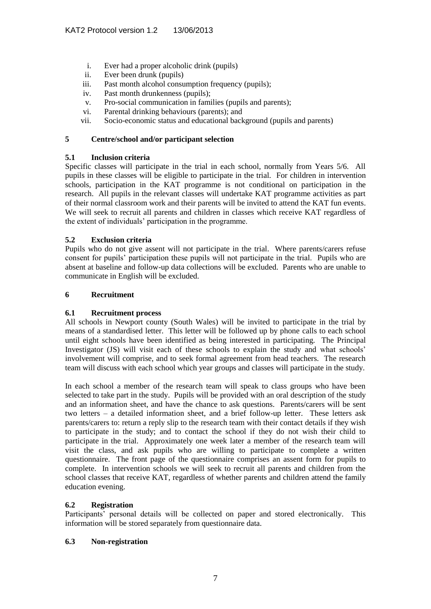- i. Ever had a proper alcoholic drink (pupils)
- ii. Ever been drunk (pupils)
- iii. Past month alcohol consumption frequency (pupils);
- iv. Past month drunkenness (pupils);
- v. Pro-social communication in families (pupils and parents);
- vi. Parental drinking behaviours (parents); and
- vii. Socio-economic status and educational background (pupils and parents)

## **5 Centre/school and/or participant selection**

## **5.1 Inclusion criteria**

Specific classes will participate in the trial in each school, normally from Years 5/6. All pupils in these classes will be eligible to participate in the trial. For children in intervention schools, participation in the KAT programme is not conditional on participation in the research. All pupils in the relevant classes will undertake KAT programme activities as part of their normal classroom work and their parents will be invited to attend the KAT fun events. We will seek to recruit all parents and children in classes which receive KAT regardless of the extent of individuals' participation in the programme.

## **5.2 Exclusion criteria**

Pupils who do not give assent will not participate in the trial. Where parents/carers refuse consent for pupils' participation these pupils will not participate in the trial. Pupils who are absent at baseline and follow-up data collections will be excluded. Parents who are unable to communicate in English will be excluded.

## **6 Recruitment**

# **6.1 Recruitment process**

All schools in Newport county (South Wales) will be invited to participate in the trial by means of a standardised letter. This letter will be followed up by phone calls to each school until eight schools have been identified as being interested in participating. The Principal Investigator (JS) will visit each of these schools to explain the study and what schools' involvement will comprise, and to seek formal agreement from head teachers. The research team will discuss with each school which year groups and classes will participate in the study.

In each school a member of the research team will speak to class groups who have been selected to take part in the study. Pupils will be provided with an oral description of the study and an information sheet, and have the chance to ask questions. Parents/carers will be sent two letters – a detailed information sheet, and a brief follow-up letter. These letters ask parents/carers to: return a reply slip to the research team with their contact details if they wish to participate in the study; and to contact the school if they do not wish their child to participate in the trial. Approximately one week later a member of the research team will visit the class, and ask pupils who are willing to participate to complete a written questionnaire. The front page of the questionnaire comprises an assent form for pupils to complete. In intervention schools we will seek to recruit all parents and children from the school classes that receive KAT, regardless of whether parents and children attend the family education evening.

# **6.2 Registration**

Participants' personal details will be collected on paper and stored electronically. This information will be stored separately from questionnaire data.

## **6.3 Non-registration**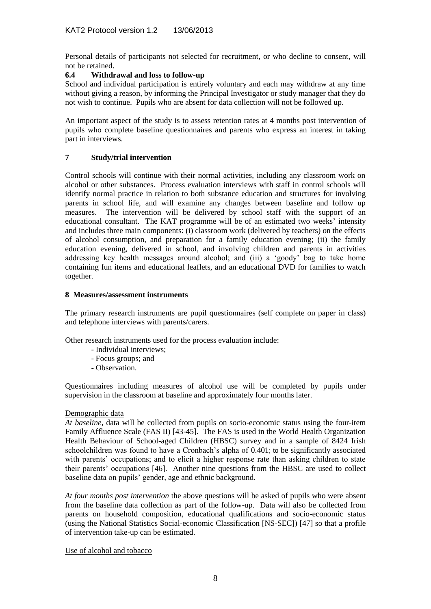Personal details of participants not selected for recruitment, or who decline to consent, will not be retained.

#### **6.4 Withdrawal and loss to follow-up**

School and individual participation is entirely voluntary and each may withdraw at any time without giving a reason, by informing the Principal Investigator or study manager that they do not wish to continue. Pupils who are absent for data collection will not be followed up.

An important aspect of the study is to assess retention rates at 4 months post intervention of pupils who complete baseline questionnaires and parents who express an interest in taking part in interviews.

#### **7 Study/trial intervention**

Control schools will continue with their normal activities, including any classroom work on alcohol or other substances. Process evaluation interviews with staff in control schools will identify normal practice in relation to both substance education and structures for involving parents in school life, and will examine any changes between baseline and follow up measures. The intervention will be delivered by school staff with the support of an educational consultant. The KAT programme will be of an estimated two weeks' intensity and includes three main components: (i) classroom work (delivered by teachers) on the effects of alcohol consumption, and preparation for a family education evening; (ii) the family education evening, delivered in school, and involving children and parents in activities addressing key health messages around alcohol; and (iii) a 'goody' bag to take home containing fun items and educational leaflets, and an educational DVD for families to watch together.

#### **8 Measures/assessment instruments**

The primary research instruments are pupil questionnaires (self complete on paper in class) and telephone interviews with parents/carers.

Other research instruments used for the process evaluation include:

- Individual interviews;
- Focus groups; and
- Observation.

Questionnaires including measures of alcohol use will be completed by pupils under supervision in the classroom at baseline and approximately four months later.

#### Demographic data

*At baseline,* data will be collected from pupils on socio-economic status using the four-item Family Affluence Scale (FAS II) [43-45]. The FAS is used in the World Health Organization Health Behaviour of School-aged Children (HBSC) survey and in a sample of 8424 Irish schoolchildren was found to have a Cronbach's alpha of 0.401; to be significantly associated with parents' occupations; and to elicit a higher response rate than asking children to state their parents' occupations [46]. Another nine questions from the HBSC are used to collect baseline data on pupils' gender, age and ethnic background.

*At four months post intervention* the above questions will be asked of pupils who were absent from the baseline data collection as part of the follow-up. Data will also be collected from parents on household composition, educational qualifications and socio-economic status (using the National Statistics Social-economic Classification [NS-SEC]) [47] so that a profile of intervention take-up can be estimated.

Use of alcohol and tobacco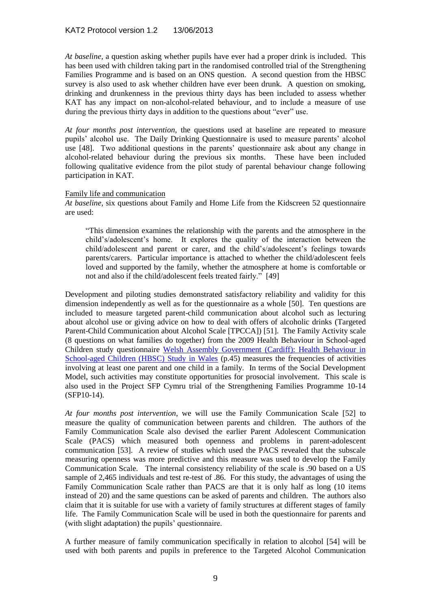*At baseline,* a question asking whether pupils have ever had a proper drink is included. This has been used with children taking part in the randomised controlled trial of the Strengthening Families Programme and is based on an ONS question. A second question from the HBSC survey is also used to ask whether children have ever been drunk. A question on smoking, drinking and drunkenness in the previous thirty days has been included to assess whether KAT has any impact on non-alcohol-related behaviour, and to include a measure of use during the previous thirty days in addition to the questions about "ever" use.

*At four months post intervention,* the questions used at baseline are repeated to measure pupils' alcohol use. The Daily Drinking Questionnaire is used to measure parents' alcohol use [48]. Two additional questions in the parents' questionnaire ask about any change in alcohol-related behaviour during the previous six months. These have been included following qualitative evidence from the pilot study of parental behaviour change following participation in KAT.

#### Family life and communication

*At baseline*, six questions about Family and Home Life from the Kidscreen 52 questionnaire are used:

"This dimension examines the relationship with the parents and the atmosphere in the child's/adolescent's home. It explores the quality of the interaction between the child/adolescent and parent or carer, and the child's/adolescent's feelings towards parents/carers. Particular importance is attached to whether the child/adolescent feels loved and supported by the family, whether the atmosphere at home is comfortable or not and also if the child/adolescent feels treated fairly." [49]

Development and piloting studies demonstrated satisfactory reliability and validity for this dimension independently as well as for the questionnaire as a whole [50]. Ten questions are included to measure targeted parent-child communication about alcohol such as lecturing about alcohol use or giving advice on how to deal with offers of alcoholic drinks (Targeted Parent-Child Communication about Alcohol Scale [TPCCA]) [51]. The Family Activity scale (8 questions on what families do together) from the 2009 Health Behaviour in School-aged Children study questionnaire Welsh Assembly Government (Cardiff): Health Behaviour in School-aged Children (HBSC) Study in Wales (p.45) measures the frequencies of activities involving at least one parent and one child in a family. In terms of the Social Development Model, such activities may constitute opportunities for prosocial involvement. This scale is also used in the Project SFP Cymru trial of the Strengthening Families Programme 10-14 (SFP10-14).

*At four months post intervention*, we will use the Family Communication Scale [52] to measure the quality of communication between parents and children. The authors of the Family Communication Scale also devised the earlier Parent Adolescent Communication Scale (PACS) which measured both openness and problems in parent-adolescent communication [53]. A review of studies which used the PACS revealed that the subscale measuring openness was more predictive and this measure was used to develop the Family Communication Scale. The internal consistency reliability of the scale is .90 based on a US sample of 2,465 individuals and test re-test of .86. For this study, the advantages of using the Family Communication Scale rather than PACS are that it is only half as long (10 items instead of 20) and the same questions can be asked of parents and children. The authors also claim that it is suitable for use with a variety of family structures at different stages of family life. The Family Communication Scale will be used in both the questionnaire for parents and (with slight adaptation) the pupils' questionnaire.

A further measure of family communication specifically in relation to alcohol [54] will be used with both parents and pupils in preference to the Targeted Alcohol Communication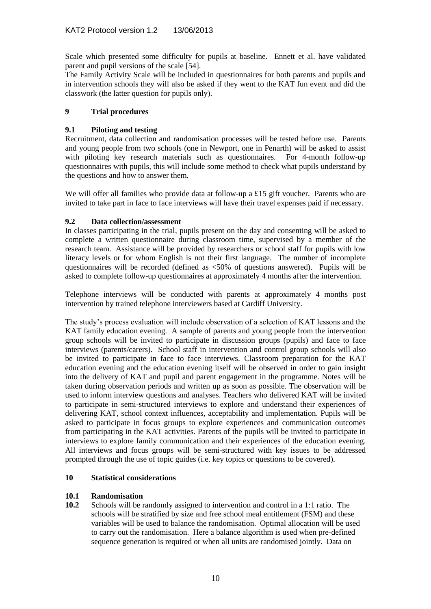Scale which presented some difficulty for pupils at baseline. Ennett et al. have validated parent and pupil versions of the scale [54].

The Family Activity Scale will be included in questionnaires for both parents and pupils and in intervention schools they will also be asked if they went to the KAT fun event and did the classwork (the latter question for pupils only).

## **9 Trial procedures**

## **9.1 Piloting and testing**

Recruitment, data collection and randomisation processes will be tested before use. Parents and young people from two schools (one in Newport, one in Penarth) will be asked to assist with piloting key research materials such as questionnaires. For 4-month follow-up questionnaires with pupils, this will include some method to check what pupils understand by the questions and how to answer them.

We will offer all families who provide data at follow-up a £15 gift voucher. Parents who are invited to take part in face to face interviews will have their travel expenses paid if necessary.

## **9.2 Data collection/assessment**

In classes participating in the trial, pupils present on the day and consenting will be asked to complete a written questionnaire during classroom time, supervised by a member of the research team. Assistance will be provided by researchers or school staff for pupils with low literacy levels or for whom English is not their first language. The number of incomplete questionnaires will be recorded (defined as  $\leq 50\%$  of questions answered). Pupils will be asked to complete follow-up questionnaires at approximately 4 months after the intervention.

Telephone interviews will be conducted with parents at approximately 4 months post intervention by trained telephone interviewers based at Cardiff University.

The study's process evaluation will include observation of a selection of KAT lessons and the KAT family education evening. A sample of parents and young people from the intervention group schools will be invited to participate in discussion groups (pupils) and face to face interviews (parents/carers). School staff in intervention and control group schools will also be invited to participate in face to face interviews. Classroom preparation for the KAT education evening and the education evening itself will be observed in order to gain insight into the delivery of KAT and pupil and parent engagement in the programme. Notes will be taken during observation periods and written up as soon as possible. The observation will be used to inform interview questions and analyses. Teachers who delivered KAT will be invited to participate in semi-structured interviews to explore and understand their experiences of delivering KAT, school context influences, acceptability and implementation. Pupils will be asked to participate in focus groups to explore experiences and communication outcomes from participating in the KAT activities. Parents of the pupils will be invited to participate in interviews to explore family communication and their experiences of the education evening. All interviews and focus groups will be semi-structured with key issues to be addressed prompted through the use of topic guides (i.e. key topics or questions to be covered).

## **10 Statistical considerations**

## **10.1 Randomisation**

**10.2** Schools will be randomly assigned to intervention and control in a 1:1 ratio. The schools will be stratified by size and free school meal entitlement (FSM) and these variables will be used to balance the randomisation. Optimal allocation will be used to carry out the randomisation. Here a balance algorithm is used when pre-defined sequence generation is required or when all units are randomised jointly. Data on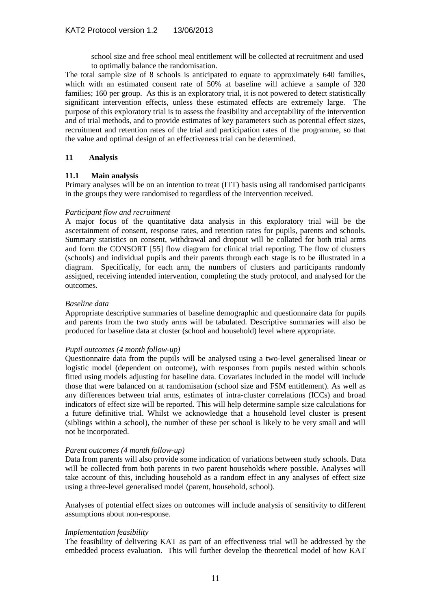school size and free school meal entitlement will be collected at recruitment and used to optimally balance the randomisation.

The total sample size of 8 schools is anticipated to equate to approximately 640 families, which with an estimated consent rate of 50% at baseline will achieve a sample of 320 families; 160 per group. As this is an exploratory trial, it is not powered to detect statistically significant intervention effects, unless these estimated effects are extremely large. The purpose of this exploratory trial is to assess the feasibility and acceptability of the intervention and of trial methods, and to provide estimates of key parameters such as potential effect sizes, recruitment and retention rates of the trial and participation rates of the programme, so that the value and optimal design of an effectiveness trial can be determined.

#### **11 Analysis**

#### **11.1 Main analysis**

Primary analyses will be on an intention to treat (ITT) basis using all randomised participants in the groups they were randomised to regardless of the intervention received.

#### *Participant flow and recruitment*

A major focus of the quantitative data analysis in this exploratory trial will be the ascertainment of consent, response rates, and retention rates for pupils, parents and schools. Summary statistics on consent, withdrawal and dropout will be collated for both trial arms and form the CONSORT [55] flow diagram for clinical trial reporting. The flow of clusters (schools) and individual pupils and their parents through each stage is to be illustrated in a diagram. Specifically, for each arm, the numbers of clusters and participants randomly assigned, receiving intended intervention, completing the study protocol, and analysed for the outcomes.

#### *Baseline data*

Appropriate descriptive summaries of baseline demographic and questionnaire data for pupils and parents from the two study arms will be tabulated. Descriptive summaries will also be produced for baseline data at cluster (school and household) level where appropriate.

#### *Pupil outcomes (4 month follow-up)*

Questionnaire data from the pupils will be analysed using a two-level generalised linear or logistic model (dependent on outcome), with responses from pupils nested within schools fitted using models adjusting for baseline data. Covariates included in the model will include those that were balanced on at randomisation (school size and FSM entitlement). As well as any differences between trial arms, estimates of intra-cluster correlations (ICCs) and broad indicators of effect size will be reported. This will help determine sample size calculations for a future definitive trial. Whilst we acknowledge that a household level cluster is present (siblings within a school), the number of these per school is likely to be very small and will not be incorporated.

#### *Parent outcomes (4 month follow-up)*

Data from parents will also provide some indication of variations between study schools. Data will be collected from both parents in two parent households where possible. Analyses will take account of this, including household as a random effect in any analyses of effect size using a three-level generalised model (parent, household, school).

Analyses of potential effect sizes on outcomes will include analysis of sensitivity to different assumptions about non-response.

#### *Implementation feasibility*

The feasibility of delivering KAT as part of an effectiveness trial will be addressed by the embedded process evaluation. This will further develop the theoretical model of how KAT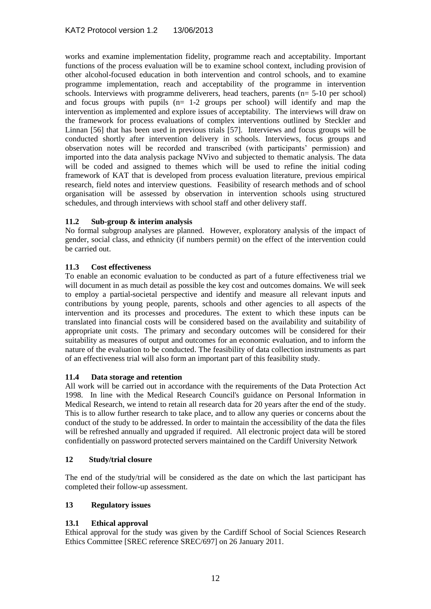works and examine implementation fidelity, programme reach and acceptability. Important functions of the process evaluation will be to examine school context, including provision of other alcohol-focused education in both intervention and control schools, and to examine programme implementation, reach and acceptability of the programme in intervention schools. Interviews with programme deliverers, head teachers, parents  $(n= 5-10$  per school) and focus groups with pupils (n= 1-2 groups per school) will identify and map the intervention as implemented and explore issues of acceptability. The interviews will draw on the framework for process evaluations of complex interventions outlined by Steckler and Linnan [56] that has been used in previous trials [57]. Interviews and focus groups will be conducted shortly after intervention delivery in schools. Interviews, focus groups and observation notes will be recorded and transcribed (with participants' permission) and imported into the data analysis package NVivo and subjected to thematic analysis. The data will be coded and assigned to themes which will be used to refine the initial coding framework of KAT that is developed from process evaluation literature, previous empirical research, field notes and interview questions. Feasibility of research methods and of school organisation will be assessed by observation in intervention schools using structured schedules, and through interviews with school staff and other delivery staff.

## **11.2 Sub-group & interim analysis**

No formal subgroup analyses are planned. However, exploratory analysis of the impact of gender, social class, and ethnicity (if numbers permit) on the effect of the intervention could be carried out.

## **11.3 Cost effectiveness**

To enable an economic evaluation to be conducted as part of a future effectiveness trial we will document in as much detail as possible the key cost and outcomes domains. We will seek to employ a partial-societal perspective and identify and measure all relevant inputs and contributions by young people, parents, schools and other agencies to all aspects of the intervention and its processes and procedures. The extent to which these inputs can be translated into financial costs will be considered based on the availability and suitability of appropriate unit costs. The primary and secondary outcomes will be considered for their suitability as measures of output and outcomes for an economic evaluation, and to inform the nature of the evaluation to be conducted. The feasibility of data collection instruments as part of an effectiveness trial will also form an important part of this feasibility study.

## **11.4 Data storage and retention**

All work will be carried out in accordance with the requirements of the Data Protection Act 1998. In line with the Medical Research Council's guidance on Personal Information in Medical Research, we intend to retain all research data for 20 years after the end of the study. This is to allow further research to take place, and to allow any queries or concerns about the conduct of the study to be addressed. In order to maintain the accessibility of the data the files will be refreshed annually and upgraded if required. All electronic project data will be stored confidentially on password protected servers maintained on the Cardiff University Network

## **12 Study/trial closure**

The end of the study/trial will be considered as the date on which the last participant has completed their follow-up assessment.

## **13 Regulatory issues**

## **13.1 Ethical approval**

Ethical approval for the study was given by the Cardiff School of Social Sciences Research Ethics Committee [SREC reference SREC/697] on 26 January 2011.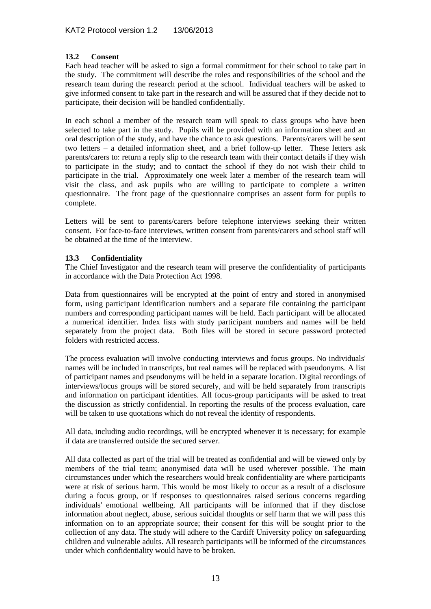## **13.2 Consent**

Each head teacher will be asked to sign a formal commitment for their school to take part in the study. The commitment will describe the roles and responsibilities of the school and the research team during the research period at the school. Individual teachers will be asked to give informed consent to take part in the research and will be assured that if they decide not to participate, their decision will be handled confidentially.

In each school a member of the research team will speak to class groups who have been selected to take part in the study. Pupils will be provided with an information sheet and an oral description of the study, and have the chance to ask questions. Parents/carers will be sent two letters – a detailed information sheet, and a brief follow-up letter. These letters ask parents/carers to: return a reply slip to the research team with their contact details if they wish to participate in the study; and to contact the school if they do not wish their child to participate in the trial. Approximately one week later a member of the research team will visit the class, and ask pupils who are willing to participate to complete a written questionnaire. The front page of the questionnaire comprises an assent form for pupils to complete.

Letters will be sent to parents/carers before telephone interviews seeking their written consent. For face-to-face interviews, written consent from parents/carers and school staff will be obtained at the time of the interview.

## **13.3 Confidentiality**

The Chief Investigator and the research team will preserve the confidentiality of participants in accordance with the Data Protection Act 1998.

Data from questionnaires will be encrypted at the point of entry and stored in anonymised form, using participant identification numbers and a separate file containing the participant numbers and corresponding participant names will be held. Each participant will be allocated a numerical identifier. Index lists with study participant numbers and names will be held separately from the project data. Both files will be stored in secure password protected folders with restricted access.

The process evaluation will involve conducting interviews and focus groups. No individuals' names will be included in transcripts, but real names will be replaced with pseudonyms. A list of participant names and pseudonyms will be held in a separate location. Digital recordings of interviews/focus groups will be stored securely, and will be held separately from transcripts and information on participant identities. All focus-group participants will be asked to treat the discussion as strictly confidential. In reporting the results of the process evaluation, care will be taken to use quotations which do not reveal the identity of respondents.

All data, including audio recordings, will be encrypted whenever it is necessary; for example if data are transferred outside the secured server.

All data collected as part of the trial will be treated as confidential and will be viewed only by members of the trial team; anonymised data will be used wherever possible. The main circumstances under which the researchers would break confidentiality are where participants were at risk of serious harm. This would be most likely to occur as a result of a disclosure during a focus group, or if responses to questionnaires raised serious concerns regarding individuals' emotional wellbeing. All participants will be informed that if they disclose information about neglect, abuse, serious suicidal thoughts or self harm that we will pass this information on to an appropriate source; their consent for this will be sought prior to the collection of any data. The study will adhere to the Cardiff University policy on safeguarding children and vulnerable adults. All research participants will be informed of the circumstances under which confidentiality would have to be broken.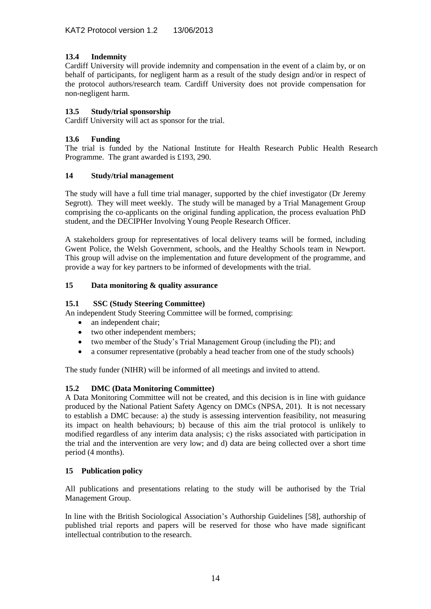## **13.4 Indemnity**

Cardiff University will provide indemnity and compensation in the event of a claim by, or on behalf of participants, for negligent harm as a result of the study design and/or in respect of the protocol authors/research team. Cardiff University does not provide compensation for non-negligent harm.

## **13.5 Study/trial sponsorship**

Cardiff University will act as sponsor for the trial.

### **13.6 Funding**

The trial is funded by the National Institute for Health Research Public Health Research Programme. The grant awarded is £193, 290.

#### **14 Study/trial management**

The study will have a full time trial manager, supported by the chief investigator (Dr Jeremy Segrott). They will meet weekly. The study will be managed by a Trial Management Group comprising the co-applicants on the original funding application, the process evaluation PhD student, and the DECIPHer Involving Young People Research Officer.

A stakeholders group for representatives of local delivery teams will be formed, including Gwent Police, the Welsh Government, schools, and the Healthy Schools team in Newport. This group will advise on the implementation and future development of the programme, and provide a way for key partners to be informed of developments with the trial.

#### **15 Data monitoring & quality assurance**

#### **15.1 SSC (Study Steering Committee)**

An independent Study Steering Committee will be formed, comprising:

- an independent chair:
- two other independent members;
- two member of the Study's Trial Management Group (including the PI); and
- a consumer representative (probably a head teacher from one of the study schools)

The study funder (NIHR) will be informed of all meetings and invited to attend.

## **15.2 DMC (Data Monitoring Committee)**

A Data Monitoring Committee will not be created, and this decision is in line with guidance produced by the National Patient Safety Agency on DMCs (NPSA, 201). It is not necessary to establish a DMC because: a) the study is assessing intervention feasibility, not measuring its impact on health behaviours; b) because of this aim the trial protocol is unlikely to modified regardless of any interim data analysis; c) the risks associated with participation in the trial and the intervention are very low; and d) data are being collected over a short time period (4 months).

## **15 Publication policy**

All publications and presentations relating to the study will be authorised by the Trial Management Group.

In line with the British Sociological Association's Authorship Guidelines [58], authorship of published trial reports and papers will be reserved for those who have made significant intellectual contribution to the research.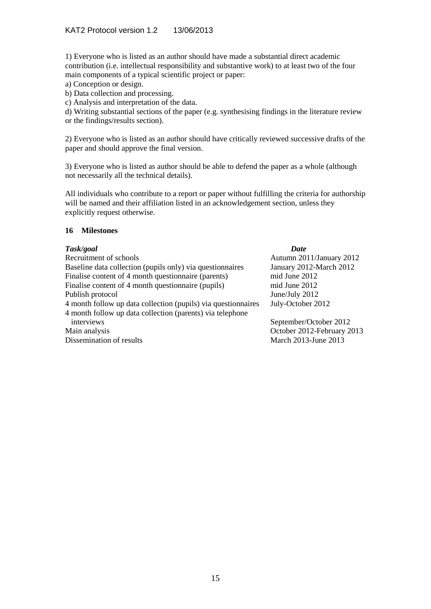1) Everyone who is listed as an author should have made a substantial direct academic contribution (i.e. intellectual responsibility and substantive work) to at least two of the four main components of a typical scientific project or paper:

- a) Conception or design.
- b) Data collection and processing.

c) Analysis and interpretation of the data.

d) Writing substantial sections of the paper (e.g. synthesising findings in the literature review or the findings/results section).

2) Everyone who is listed as an author should have critically reviewed successive drafts of the paper and should approve the final version.

3) Everyone who is listed as author should be able to defend the paper as a whole (although not necessarily all the technical details).

All individuals who contribute to a report or paper without fulfilling the criteria for authorship will be named and their affiliation listed in an acknowledgement section, unless they explicitly request otherwise.

#### **16 Milestones**

| Task/goal                                                     | Date                       |
|---------------------------------------------------------------|----------------------------|
| Recruitment of schools                                        | Autumn 2011/January 2012   |
| Baseline data collection (pupils only) via questionnaires     | January 2012-March 2012    |
| Finalise content of 4 month questionnaire (parents)           | mid June 2012              |
| Finalise content of 4 month questionnaire (pupils)            | mid June $2012$            |
| Publish protocol                                              | June/July 2012             |
| 4 month follow up data collection (pupils) via questionnaires | July-October 2012          |
| 4 month follow up data collection (parents) via telephone     |                            |
| interviews                                                    | September/October 2012     |
| Main analysis                                                 | October 2012-February 2013 |
| Dissemination of results                                      | March 2013-June 2013       |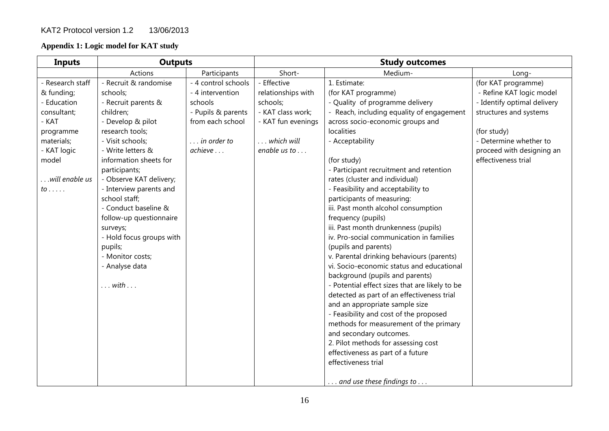# **Appendix 1: Logic model for KAT study**

| Inputs                                                                                                                                                          | <b>Outputs</b>                                                                                                                                                                                                                                                                                                                                                                                                                                 |                                                                                                                                 | <b>Study outcomes</b>                                                                                                  |                                                                                                                                                                                                                                                                                                                                                                                                                                                                                                                                                                                                                                                                                                                                                                                                                                                                                                                                                                                                                           |                                                                                                                                                                                                       |
|-----------------------------------------------------------------------------------------------------------------------------------------------------------------|------------------------------------------------------------------------------------------------------------------------------------------------------------------------------------------------------------------------------------------------------------------------------------------------------------------------------------------------------------------------------------------------------------------------------------------------|---------------------------------------------------------------------------------------------------------------------------------|------------------------------------------------------------------------------------------------------------------------|---------------------------------------------------------------------------------------------------------------------------------------------------------------------------------------------------------------------------------------------------------------------------------------------------------------------------------------------------------------------------------------------------------------------------------------------------------------------------------------------------------------------------------------------------------------------------------------------------------------------------------------------------------------------------------------------------------------------------------------------------------------------------------------------------------------------------------------------------------------------------------------------------------------------------------------------------------------------------------------------------------------------------|-------------------------------------------------------------------------------------------------------------------------------------------------------------------------------------------------------|
|                                                                                                                                                                 | Actions                                                                                                                                                                                                                                                                                                                                                                                                                                        | Participants                                                                                                                    | Short-                                                                                                                 | Medium-                                                                                                                                                                                                                                                                                                                                                                                                                                                                                                                                                                                                                                                                                                                                                                                                                                                                                                                                                                                                                   | Long-                                                                                                                                                                                                 |
| - Research staff<br>& funding;<br>- Education<br>consultant;<br>- KAT<br>programme<br>materials;<br>- KAT logic<br>model<br>. . will enable us<br>$to \ldots$ . | - Recruit & randomise<br>schools;<br>- Recruit parents &<br>children;<br>- Develop & pilot<br>research tools;<br>- Visit schools;<br>- Write letters &<br>information sheets for<br>participants;<br>- Observe KAT delivery;<br>- Interview parents and<br>school staff;<br>- Conduct baseline &<br>follow-up questionnaire<br>surveys;<br>- Hold focus groups with<br>pupils;<br>- Monitor costs;<br>- Analyse data<br>$\ldots$ with $\ldots$ | - 4 control schools<br>- 4 intervention<br>schools<br>- Pupils & parents<br>from each school<br>$\ldots$ in order to<br>achieve | - Effective<br>relationships with<br>schools;<br>- KAT class work;<br>- KAT fun evenings<br>which will<br>enable us to | 1. Estimate:<br>(for KAT programme)<br>- Quality of programme delivery<br>- Reach, including equality of engagement<br>across socio-economic groups and<br><b>localities</b><br>- Acceptability<br>(for study)<br>- Participant recruitment and retention<br>rates (cluster and individual)<br>- Feasibility and acceptability to<br>participants of measuring:<br>iii. Past month alcohol consumption<br>frequency (pupils)<br>iii. Past month drunkenness (pupils)<br>iv. Pro-social communication in families<br>(pupils and parents)<br>v. Parental drinking behaviours (parents)<br>vi. Socio-economic status and educational<br>background (pupils and parents)<br>- Potential effect sizes that are likely to be<br>detected as part of an effectiveness trial<br>and an appropriate sample size<br>- Feasibility and cost of the proposed<br>methods for measurement of the primary<br>and secondary outcomes.<br>2. Pilot methods for assessing cost<br>effectiveness as part of a future<br>effectiveness trial | (for KAT programme)<br>- Refine KAT logic model<br>- Identify optimal delivery<br>structures and systems<br>(for study)<br>- Determine whether to<br>proceed with designing an<br>effectiveness trial |
|                                                                                                                                                                 |                                                                                                                                                                                                                                                                                                                                                                                                                                                |                                                                                                                                 |                                                                                                                        | $\dots$ and use these findings to $\dots$                                                                                                                                                                                                                                                                                                                                                                                                                                                                                                                                                                                                                                                                                                                                                                                                                                                                                                                                                                                 |                                                                                                                                                                                                       |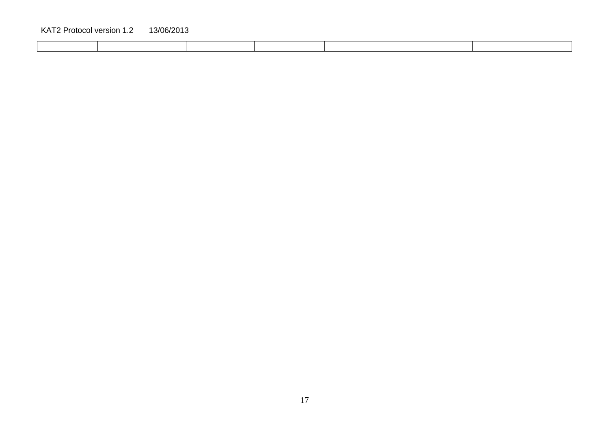# KAT2 Protocol version 1.2 13/06/2013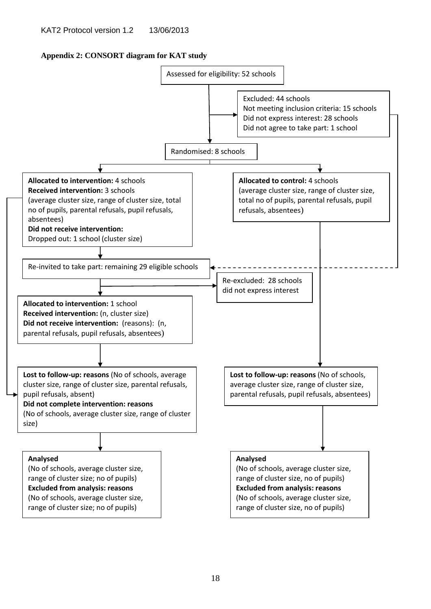**Appendix 2: CONSORT diagram for KAT study**

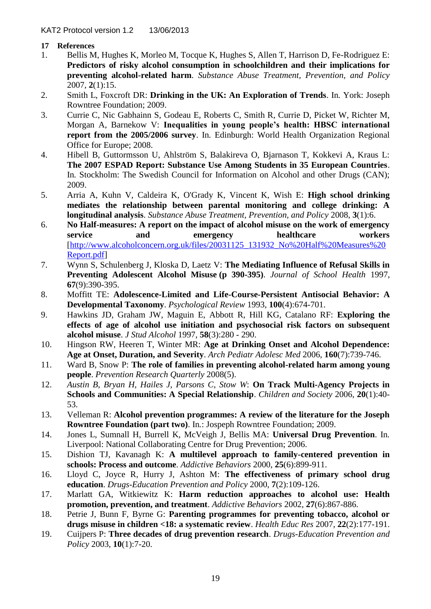# **17 References**

- 1. Bellis M, Hughes K, Morleo M, Tocque K, Hughes S, Allen T, Harrison D, Fe-Rodriguez E: **Predictors of risky alcohol consumption in schoolchildren and their implications for preventing alcohol-related harm**. *Substance Abuse Treatment, Prevention, and Policy*  2007, **2**(1):15.
- 2. Smith L, Foxcroft DR: **Drinking in the UK: An Exploration of Trends**. In*.* York: Joseph Rowntree Foundation; 2009.
- 3. Currie C, Nic Gabhainn S, Godeau E, Roberts C, Smith R, Currie D, Picket W, Richter M, Morgan A, Barnekow V: **Inequalities in young people's health: HBSC international report from the 2005/2006 survey**. In*.* Edinburgh: World Health Organization Regional Office for Europe; 2008.
- 4. Hibell B, Guttormsson U, Ahlström S, Balakireva O, Bjarnason T, Kokkevi A, Kraus L: **The 2007 ESPAD Report: Substance Use Among Students in 35 European Countries**. In. Stockholm: The Swedish Council for Information on Alcohol and other Drugs (CAN); 2009.
- 5. Arria A, Kuhn V, Caldeira K, O'Grady K, Vincent K, Wish E: **High school drinking mediates the relationship between parental monitoring and college drinking: A longitudinal analysis**. *Substance Abuse Treatment, Prevention, and Policy* 2008, **3**(1):6.
- 6. **No Half-measures: A report on the impact of alcohol misuse on the work of emergency service and emergency healthcare workers**  [http://www.alcoholconcern.org.uk/files/20031125\_131932\_No%20Half%20Measures%20 Report.pdf]
- 7. Wynn S, Schulenberg J, Kloska D, Laetz V: **The Mediating Influence of Refusal Skills in Preventing Adolescent Alcohol Misuse (p 390-395)**. *Journal of School Health* 1997, **67**(9):390-395.
- 8. Moffitt TE: **Adolescence-Limited and Life-Course-Persistent Antisocial Behavior: A Developmental Taxonomy**. *Psychological Review* 1993, **100**(4):674-701.
- 9. Hawkins JD, Graham JW, Maguin E, Abbott R, Hill KG, Catalano RF: **Exploring the effects of age of alcohol use initiation and psychosocial risk factors on subsequent alcohol misuse**. *J Stud Alcohol* 1997, **58**(3):280 - 290.
- 10. Hingson RW, Heeren T, Winter MR: **Age at Drinking Onset and Alcohol Dependence: Age at Onset, Duration, and Severity**. *Arch Pediatr Adolesc Med* 2006, **160**(7):739-746.
- 11. Ward B, Snow P: **The role of families in preventing alcohol-related harm among young people**. *Prevention Research Quarterly* 2008(5).
- 12. *Austin B*, *Bryan H*, *Hailes J*, *Parsons C*, *Stow W*: **On Track Multi-Agency Projects in Schools and Communities: A Special Relationship**. *Children and Society* 2006, **20**(1):40- 53.
- 13. Velleman R: **Alcohol prevention programmes: A review of the literature for the Joseph Rowntree Foundation (part two)**. In*.*: Jospeph Rowntree Foundation; 2009.
- 14. Jones L, Sumnall H, Burrell K, McVeigh J, Bellis MA: **Universal Drug Prevention**. In*.* Liverpool: National Collaborating Centre for Drug Prevention; 2006.
- 15. Dishion TJ, Kavanagh K: **A multilevel approach to family-centered prevention in schools: Process and outcome**. *Addictive Behaviors* 2000, **25**(6):899-911.
- 16. Lloyd C, Joyce R, Hurry J, Ashton M: **The effectiveness of primary school drug education**. *Drugs-Education Prevention and Policy* 2000, **7**(2):109-126.
- 17. Marlatt GA, Witkiewitz K: **Harm reduction approaches to alcohol use: Health promotion, prevention, and treatment**. *Addictive Behaviors* 2002, **27**(6):867-886.
- 18. Petrie J, Bunn F, Byrne G: **Parenting programmes for preventing tobacco, alcohol or drugs misuse in children <18: a systematic review**. *Health Educ Res* 2007, **22**(2):177-191.
- 19. Cuijpers P: **Three decades of drug prevention research**. *Drugs-Education Prevention and Policy* 2003, **10**(1):7-20.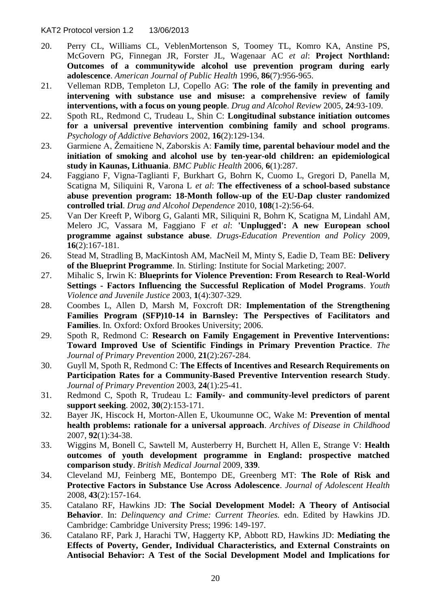KAT2 Protocol version 1.2 13/06/2013

- 20. Perry CL, Williams CL, VeblenMortenson S, Toomey TL, Komro KA, Anstine PS, McGovern PG, Finnegan JR, Forster JL, Wagenaar AC *et al*: **Project Northland: Outcomes of a communitywide alcohol use prevention program during early adolescence**. *American Journal of Public Health* 1996, **86**(7):956-965.
- 21. Velleman RDB, Templeton LJ, Copello AG: **The role of the family in preventing and intervening with substance use and misuse: a comprehensive review of family interventions, with a focus on young people**. *Drug and Alcohol Review* 2005, **24**:93-109.
- 22. Spoth RL, Redmond C, Trudeau L, Shin C: **Longitudinal substance initiation outcomes for a universal preventive intervention combining family and school programs**. *Psychology of Addictive Behaviors* 2002, **16**(2):129-134.
- 23. Garmiene A, Žemaitiene N, Zaborskis A: **Family time, parental behaviour model and the initiation of smoking and alcohol use by ten-year-old children: an epidemiological study in Kaunas, Lithuania**. *BMC Public Health* 2006, **6**(1):287.
- 24. Faggiano F, Vigna-Taglianti F, Burkhart G, Bohrn K, Cuomo L, Gregori D, Panella M, Scatigna M, Siliquini R, Varona L *et al*: **The effectiveness of a school-based substance abuse prevention program: 18-Month follow-up of the EU-Dap cluster randomized controlled trial**. *Drug and Alcohol Dependence* 2010, **108**(1-2):56-64.
- 25. Van Der Kreeft P, Wiborg G, Galanti MR, Siliquini R, Bohrn K, Scatigna M, Lindahl AM, Melero JC, Vassara M, Faggiano F *et al*: **'Unplugged': A new European school programme against substance abuse**. *Drugs-Education Prevention and Policy* 2009, **16**(2):167-181.
- 26. Stead M, Stradling B, MacKintosh AM, MacNeil M, Minty S, Eadie D, Team BE: **Delivery of the Blueprint Programme**. In*.* Stirling: Institute for Social Marketing; 2007.
- 27. Mihalic S, Irwin K: **Blueprints for Violence Prevention: From Research to Real-World Settings - Factors Influencing the Successful Replication of Model Programs**. *Youth Violence and Juvenile Justice* 2003, **1**(4):307-329.
- 28. Coombes L, Allen D, Marsh M, Foxcroft DR: **Implementation of the Strengthening Families Program (SFP)10-14 in Barnsley: The Perspectives of Facilitators and Families**. In*.* Oxford: Oxford Brookes University; 2006.
- 29. Spoth R, Redmond C: **Research on Family Engagement in Preventive Interventions: Toward Improved Use of Scientific Findings in Primary Prevention Practice**. *The Journal of Primary Prevention* 2000, **21**(2):267-284.
- 30. Guyll M, Spoth R, Redmond C: **The Effects of Incentives and Research Requirements on Participation Rates for a Community-Based Preventive Intervention research Study**. *Journal of Primary Prevention* 2003, **24**(1):25-41.
- 31. Redmond C, Spoth R, Trudeau L: **Family- and community-level predictors of parent support seeking**. 2002, **30**(2):153-171.
- 32. Bayer JK, Hiscock H, Morton-Allen E, Ukoumunne OC, Wake M: **Prevention of mental health problems: rationale for a universal approach**. *Archives of Disease in Childhood*  2007, **92**(1):34-38.
- 33. Wiggins M, Bonell C, Sawtell M, Austerberry H, Burchett H, Allen E, Strange V: **Health outcomes of youth development programme in England: prospective matched comparison study**. *British Medical Journal* 2009, **339**.
- 34. Cleveland MJ, Feinberg ME, Bontempo DE, Greenberg MT: **The Role of Risk and Protective Factors in Substance Use Across Adolescence**. *Journal of Adolescent Health*  2008, **43**(2):157-164.
- 35. Catalano RF, Hawkins JD: **The Social Development Model: A Theory of Antisocial Behavior**. In: *Delinquency and Crime: Current Theories.* edn. Edited by Hawkins JD. Cambridge: Cambridge University Press; 1996: 149-197.
- 36. Catalano RF, Park J, Harachi TW, Haggerty KP, Abbott RD, Hawkins JD: **Mediating the Effects of Poverty, Gender, Individual Characteristics, and External Constraints on Antisocial Behavior: A Test of the Social Development Model and Implications for**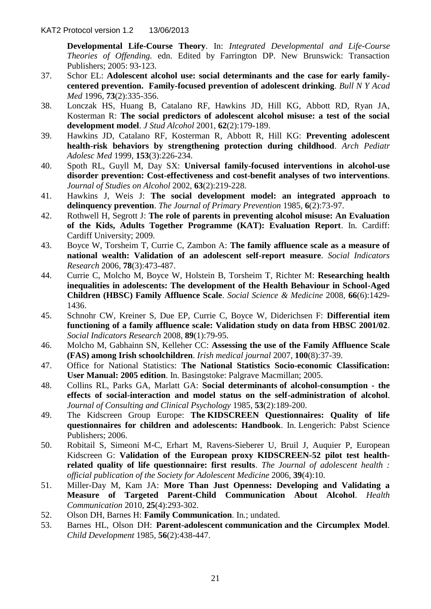**Developmental Life-Course Theory**. In: *Integrated Developmental and Life-Course Theories of Offending.* edn. Edited by Farrington DP. New Brunswick: Transaction Publishers; 2005: 93-123.

- 37. Schor EL: **Adolescent alcohol use: social determinants and the case for early familycentered prevention. Family-focused prevention of adolescent drinking**. *Bull N Y Acad Med* 1996, **73**(2):335-356.
- 38. Lonczak HS, Huang B, Catalano RF, Hawkins JD, Hill KG, Abbott RD, Ryan JA, Kosterman R: **The social predictors of adolescent alcohol misuse: a test of the social development model**. *J Stud Alcohol* 2001, **62**(2):179-189.
- 39. Hawkins JD, Catalano RF, Kosterman R, Abbott R, Hill KG: **Preventing adolescent health-risk behaviors by strengthening protection during childhood**. *Arch Pediatr Adolesc Med* 1999, **153**(3):226-234.
- 40. Spoth RL, Guyll M, Day SX: **Universal family-focused interventions in alcohol-use disorder prevention: Cost-effectiveness and cost-benefit analyses of two interventions**. *Journal of Studies on Alcohol* 2002, **63**(2):219-228.
- 41. Hawkins J, Weis J: **The social development model: an integrated approach to delinquency prevention**. *The Journal of Primary Prevention* 1985, **6**(2):73-97.
- 42. Rothwell H, Segrott J: **The role of parents in preventing alcohol misuse: An Evaluation of the Kids, Adults Together Programme (KAT): Evaluation Report**. In*.* Cardiff: Cardiff University; 2009.
- 43. Boyce W, Torsheim T, Currie C, Zambon A: **The family affluence scale as a measure of national wealth: Validation of an adolescent self-report measure**. *Social Indicators Research* 2006, **78**(3):473-487.
- 44. Currie C, Molcho M, Boyce W, Holstein B, Torsheim T, Richter M: **Researching health inequalities in adolescents: The development of the Health Behaviour in School-Aged Children (HBSC) Family Affluence Scale**. *Social Science & Medicine* 2008, **66**(6):1429- 1436.
- 45. Schnohr CW, Kreiner S, Due EP, Currie C, Boyce W, Diderichsen F: **Differential item functioning of a family affluence scale: Validation study on data from HBSC 2001/02**. *Social Indicators Research* 2008, **89**(1):79-95.
- 46. Molcho M, Gabhainn SN, Kelleher CC: **Assessing the use of the Family Affluence Scale (FAS) among Irish schoolchildren**. *Irish medical journal* 2007, **100**(8):37-39.
- 47. Office for National Statistics: **The National Statistics Socio-economic Classification: User Manual: 2005 edition**. In*.* Basingstoke: Palgrave Macmillan; 2005.
- 48. Collins RL, Parks GA, Marlatt GA: **Social determinants of alcohol-consumption - the effects of social-interaction and model status on the self-administration of alcohol**. *Journal of Consulting and Clinical Psychology* 1985, **53**(2):189-200.
- 49. The Kidscreen Group Europe: **The KIDSCREEN Questionnaires: Quality of life questionnaires for children and adolescents: Handbook**. In*.* Lengerich: Pabst Science Publishers; 2006.
- 50. Robitail S, Simeoni M-C, Erhart M, Ravens-Sieberer U, Bruil J, Auquier P, European Kidscreen G: **Validation of the European proxy KIDSCREEN-52 pilot test healthrelated quality of life questionnaire: first results**. *The Journal of adolescent health : official publication of the Society for Adolescent Medicine* 2006, **39**(4):10.
- 51. Miller-Day M, Kam JA: **More Than Just Openness: Developing and Validating a Measure of Targeted Parent-Child Communication About Alcohol**. *Health Communication* 2010, **25**(4):293-302.
- 52. Olson DH, Barnes H: **Family Communication**. In*.*; undated.
- 53. Barnes HL, Olson DH: **Parent-adolescent communication and the Circumplex Model**. *Child Development* 1985, **56**(2):438-447.